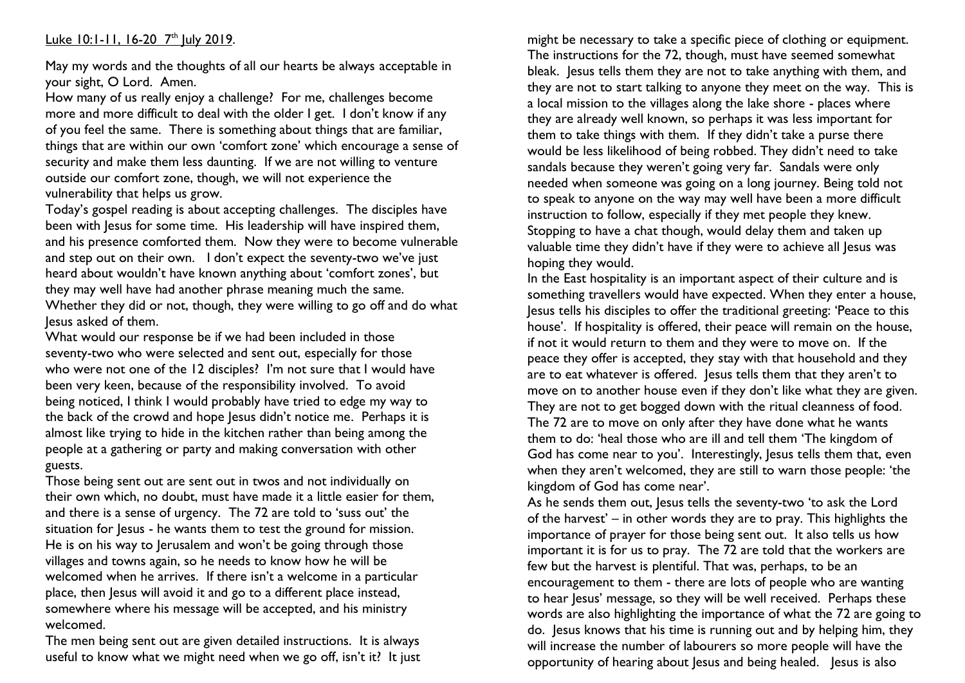## <u>Luke 10:1-11, 16-20 7th July 2019</u>.

May my words and the thoughts of all our hearts be always acceptable in your sight, O Lord. Amen.

How many of us really enjoy a challenge? For me, challenges become more and more difficult to deal with the older I get. I don't know if any of you feel the same. There is something about things that are familiar, things that are within our own 'comfort zone' which encourage a sense of security and make them less daunting. If we are not willing to venture outside our comfort zone, though, we will not experience the vulnerability that helps us grow.

Today's gospel reading is about accepting challenges. The disciples have been with Jesus for some time. His leadership will have inspired them, and his presence comforted them. Now they were to become vulnerable and step out on their own. I don't expect the seventy-two we've just heard about wouldn't have known anything about 'comfort zones', but they may well have had another phrase meaning much the same. Whether they did or not, though, they were willing to go off and do what Jesus asked of them.

What would our response be if we had been included in those seventy-two who were selected and sent out, especially for those who were not one of the 12 disciples? I'm not sure that I would have been very keen, because of the responsibility involved. To avoid being noticed, I think I would probably have tried to edge my way to the back of the crowd and hope Jesus didn't notice me. Perhaps it is almost like trying to hide in the kitchen rather than being among the people at a gathering or party and making conversation with other guests.

Those being sent out are sent out in twos and not individually on their own which, no doubt, must have made it a little easier for them, and there is a sense of urgency. The 72 are told to 'suss out' the situation for Jesus - he wants them to test the ground for mission. He is on his way to Jerusalem and won't be going through those villages and towns again, so he needs to know how he will be welcomed when he arrives. If there isn't a welcome in a particular place, then Jesus will avoid it and go to a different place instead, somewhere where his message will be accepted, and his ministry welcomed.

The men being sent out are given detailed instructions. It is always useful to know what we might need when we go off, isn't it? It just might be necessary to take a specific piece of clothing or equipment. The instructions for the 72, though, must have seemed somewhat bleak. Jesus tells them they are not to take anything with them, and they are not to start talking to anyone they meet on the way. This is a local mission to the villages along the lake shore - places where they are already well known, so perhaps it was less important for them to take things with them. If they didn't take a purse there would be less likelihood of being robbed. They didn't need to take sandals because they weren't going very far. Sandals were only needed when someone was going on a long journey. Being told not to speak to anyone on the way may well have been a more difficult instruction to follow, especially if they met people they knew. Stopping to have a chat though, would delay them and taken up valuable time they didn't have if they were to achieve all Jesus was hoping they would.

In the East hospitality is an important aspect of their culture and is something travellers would have expected. When they enter a house, Jesus tells his disciples to offer the traditional greeting: 'Peace to this house'. If hospitality is offered, their peace will remain on the house, if not it would return to them and they were to move on. If the peace they offer is accepted, they stay with that household and they are to eat whatever is offered. Jesus tells them that they aren't to move on to another house even if they don't like what they are given. They are not to get bogged down with the ritual cleanness of food. The 72 are to move on only after they have done what he wants them to do: 'heal those who are ill and tell them 'The kingdom of God has come near to you'. Interestingly, Jesus tells them that, even when they aren't welcomed, they are still to warn those people: 'the kingdom of God has come near'.

As he sends them out, Jesus tells the seventy-two 'to ask the Lord of the harvest' – in other words they are to pray. This highlights the importance of prayer for those being sent out. It also tells us how important it is for us to pray. The 72 are told that the workers are few but the harvest is plentiful. That was, perhaps, to be an encouragement to them - there are lots of people who are wanting to hear Jesus' message, so they will be well received. Perhaps these words are also highlighting the importance of what the 72 are going to do. Jesus knows that his time is running out and by helping him, they will increase the number of labourers so more people will have the opportunity of hearing about Jesus and being healed. Jesus is also